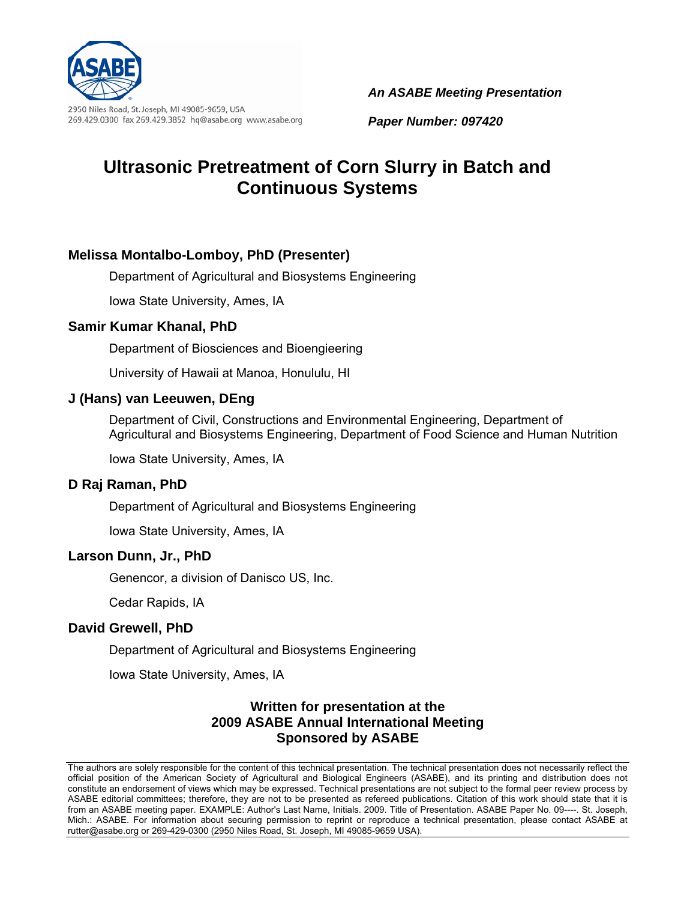

2950 Niles Road, St. Joseph, MI 49085-9659, USA 269.429.0300 fax 269.429.3852 hq@asabe.org www.asabe.org *An ASABE Meeting Presentation*

*Paper Number: 097420*

# **Ultrasonic Pretreatment of Corn Slurry in Batch and Continuous Systems**

### **Melissa Montalbo-Lomboy, PhD (Presenter)**

Department of Agricultural and Biosystems Engineering

Iowa State University, Ames, IA

### **Samir Kumar Khanal, PhD**

Department of Biosciences and Bioengieering

University of Hawaii at Manoa, Honululu, HI

### **J (Hans) van Leeuwen, DEng**

Department of Civil, Constructions and Environmental Engineering, Department of Agricultural and Biosystems Engineering, Department of Food Science and Human Nutrition

Iowa State University, Ames, IA

#### **D Raj Raman, PhD**

Department of Agricultural and Biosystems Engineering

Iowa State University, Ames, IA

#### **Larson Dunn, Jr., PhD**

Genencor, a division of Danisco US, Inc.

Cedar Rapids, IA

### **David Grewell, PhD**

Department of Agricultural and Biosystems Engineering

Iowa State University, Ames, IA

### **Written for presentation at the 2009 ASABE Annual International Meeting Sponsored by ASABE**

The authors are solely responsible for the content of this technical presentation. The technical presentation does not necessarily reflect the official position of the American Society of Agricultural and Biological Engineers (ASABE), and its printing and distribution does not constitute an endorsement of views which may be expressed. Technical presentations are not subject to the formal peer review process by ASABE editorial committees; therefore, they are not to be presented as refereed publications. Citation of this work should state that it is from an ASABE meeting paper. EXAMPLE: Author's Last Name, Initials. 2009. Title of Presentation. ASABE Paper No. 09----. St. Joseph, Mich.: ASABE. For information about securing permission to reprint or reproduce a technical presentation, please contact ASABE at rutter@asabe.org or 269-429-0300 (2950 Niles Road, St. Joseph, MI 49085-9659 USA).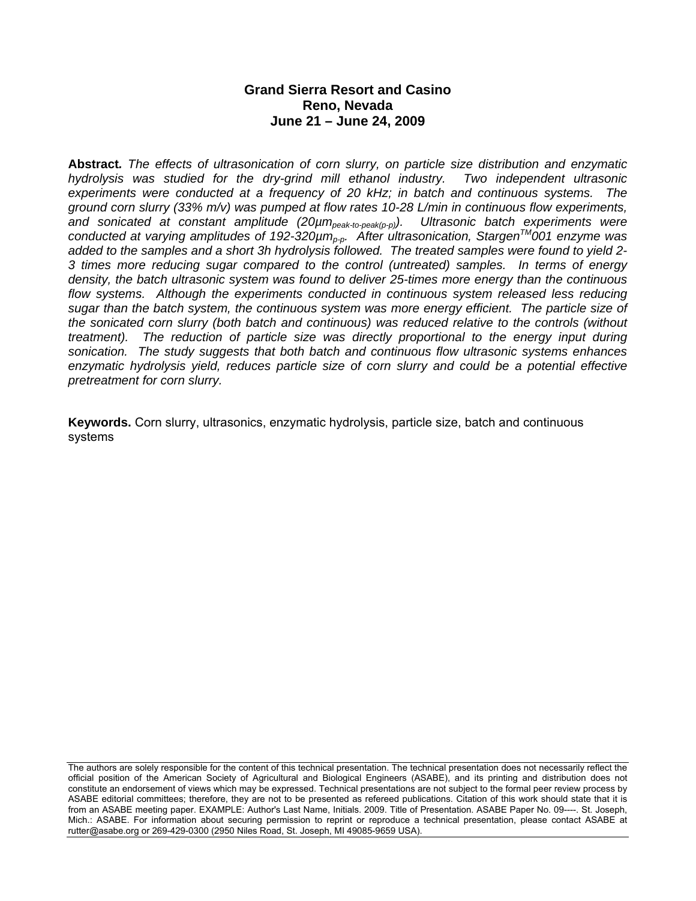### **Grand Sierra Resort and Casino Reno, Nevada June 21 – June 24, 2009**

**Abstract***. The effects of ultrasonication of corn slurry, on particle size distribution and enzymatic hydrolysis was studied for the dry-grind mill ethanol industry. Two independent ultrasonic experiments were conducted at a frequency of 20 kHz; in batch and continuous systems. The ground corn slurry (33% m/v) was pumped at flow rates 10-28 L/min in continuous flow experiments,*  and sonicated at constant amplitude (20µm<sub>peak-to-peak(p-p)</sub>). Ultrasonic batch experiments were *conducted at varying amplitudes of 192-320µmp-p. After ultrasonication, StargenTM001 enzyme was added to the samples and a short 3h hydrolysis followed. The treated samples were found to yield 2- 3 times more reducing sugar compared to the control (untreated) samples. In terms of energy density, the batch ultrasonic system was found to deliver 25-times more energy than the continuous*  flow systems. Although the experiments conducted in continuous system released less reducing *sugar than the batch system, the continuous system was more energy efficient. The particle size of the sonicated corn slurry (both batch and continuous) was reduced relative to the controls (without treatment). The reduction of particle size was directly proportional to the energy input during sonication. The study suggests that both batch and continuous flow ultrasonic systems enhances enzymatic hydrolysis yield, reduces particle size of corn slurry and could be a potential effective pretreatment for corn slurry.* 

**Keywords.** Corn slurry, ultrasonics, enzymatic hydrolysis, particle size, batch and continuous systems

The authors are solely responsible for the content of this technical presentation. The technical presentation does not necessarily reflect the official position of the American Society of Agricultural and Biological Engineers (ASABE), and its printing and distribution does not constitute an endorsement of views which may be expressed. Technical presentations are not subject to the formal peer review process by ASABE editorial committees; therefore, they are not to be presented as refereed publications. Citation of this work should state that it is from an ASABE meeting paper. EXAMPLE: Author's Last Name, Initials. 2009. Title of Presentation. ASABE Paper No. 09----. St. Joseph, Mich.: ASABE. For information about securing permission to reprint or reproduce a technical presentation, please contact ASABE at rutter@asabe.org or 269-429-0300 (2950 Niles Road, St. Joseph, MI 49085-9659 USA).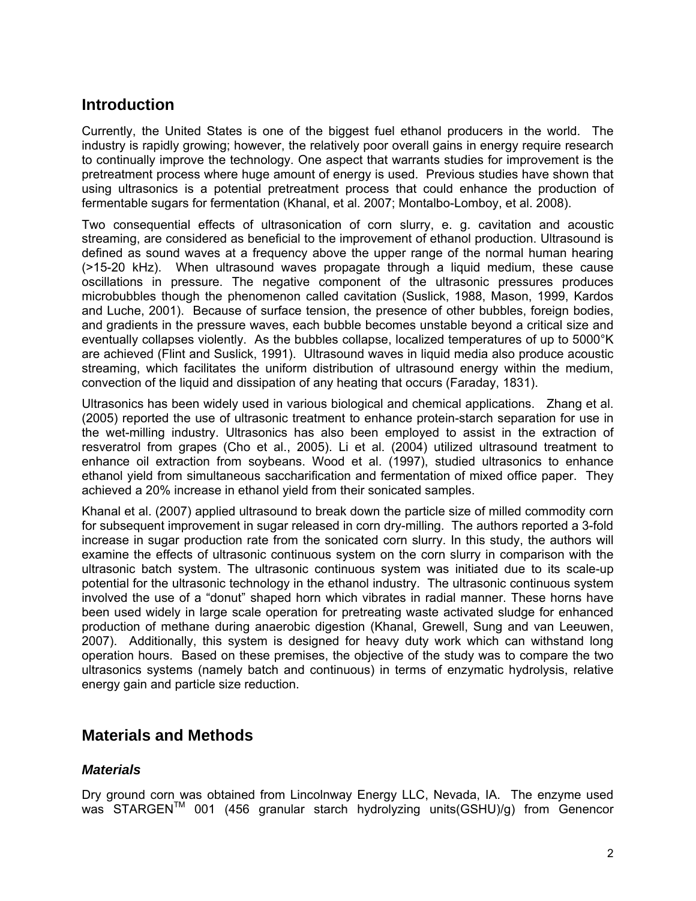## **Introduction**

Currently, the United States is one of the biggest fuel ethanol producers in the world. The industry is rapidly growing; however, the relatively poor overall gains in energy require research to continually improve the technology. One aspect that warrants studies for improvement is the pretreatment process where huge amount of energy is used. Previous studies have shown that using ultrasonics is a potential pretreatment process that could enhance the production of fermentable sugars for fermentation (Khanal, et al. 2007; Montalbo-Lomboy, et al. 2008).

Two consequential effects of ultrasonication of corn slurry, e. g. cavitation and acoustic streaming, are considered as beneficial to the improvement of ethanol production. Ultrasound is defined as sound waves at a frequency above the upper range of the normal human hearing (>15-20 kHz). When ultrasound waves propagate through a liquid medium, these cause oscillations in pressure. The negative component of the ultrasonic pressures produces microbubbles though the phenomenon called cavitation (Suslick, 1988, Mason, 1999, Kardos and Luche, 2001). Because of surface tension, the presence of other bubbles, foreign bodies, and gradients in the pressure waves, each bubble becomes unstable beyond a critical size and eventually collapses violently. As the bubbles collapse, localized temperatures of up to 5000°K are achieved (Flint and Suslick, 1991). Ultrasound waves in liquid media also produce acoustic streaming, which facilitates the uniform distribution of ultrasound energy within the medium, convection of the liquid and dissipation of any heating that occurs (Faraday, 1831).

Ultrasonics has been widely used in various biological and chemical applications. Zhang et al. (2005) reported the use of ultrasonic treatment to enhance protein-starch separation for use in the wet-milling industry. Ultrasonics has also been employed to assist in the extraction of resveratrol from grapes (Cho et al., 2005). Li et al. (2004) utilized ultrasound treatment to enhance oil extraction from soybeans. Wood et al. (1997), studied ultrasonics to enhance ethanol yield from simultaneous saccharification and fermentation of mixed office paper. They achieved a 20% increase in ethanol yield from their sonicated samples.

Khanal et al. (2007) applied ultrasound to break down the particle size of milled commodity corn for subsequent improvement in sugar released in corn dry-milling. The authors reported a 3-fold increase in sugar production rate from the sonicated corn slurry. In this study, the authors will examine the effects of ultrasonic continuous system on the corn slurry in comparison with the ultrasonic batch system. The ultrasonic continuous system was initiated due to its scale-up potential for the ultrasonic technology in the ethanol industry. The ultrasonic continuous system involved the use of a "donut" shaped horn which vibrates in radial manner. These horns have been used widely in large scale operation for pretreating waste activated sludge for enhanced production of methane during anaerobic digestion (Khanal, Grewell, Sung and van Leeuwen, 2007). Additionally, this system is designed for heavy duty work which can withstand long operation hours. Based on these premises, the objective of the study was to compare the two ultrasonics systems (namely batch and continuous) in terms of enzymatic hydrolysis, relative energy gain and particle size reduction.

### **Materials and Methods**

### *Materials*

Dry ground corn was obtained from Lincolnway Energy LLC, Nevada, IA. The enzyme used was STARGEN<sup>™</sup> 001 (456 granular starch hydrolyzing units(GSHU)/g) from Genencor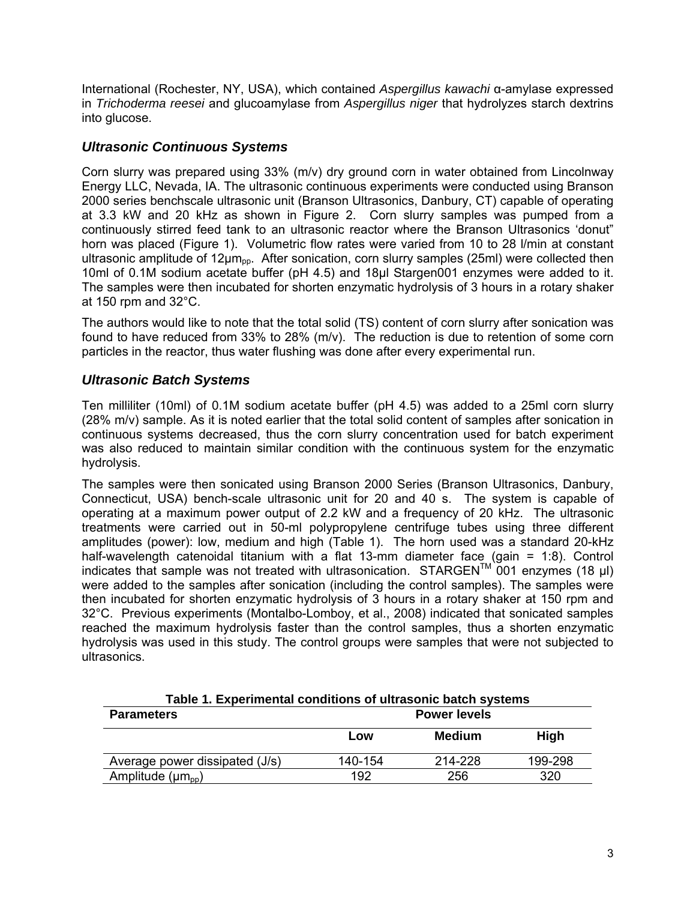International (Rochester, NY, USA), which contained *Aspergillus kawachi* α-amylase expressed in *Trichoderma reesei* and glucoamylase from *Aspergillus niger* that hydrolyzes starch dextrins into glucose.

### *Ultrasonic Continuous Systems*

Corn slurry was prepared using 33% (m/v) dry ground corn in water obtained from Lincolnway Energy LLC, Nevada, IA. The ultrasonic continuous experiments were conducted using Branson 2000 series benchscale ultrasonic unit (Branson Ultrasonics, Danbury, CT) capable of operating at 3.3 kW and 20 kHz as shown in Figure 2. Corn slurry samples was pumped from a continuously stirred feed tank to an ultrasonic reactor where the Branson Ultrasonics 'donut" horn was placed (Figure 1). Volumetric flow rates were varied from 10 to 28 l/min at constant ultrasonic amplitude of  $12\mu m_{\text{op}}$ . After sonication, corn slurry samples (25ml) were collected then 10ml of 0.1M sodium acetate buffer (pH 4.5) and 18µl Stargen001 enzymes were added to it. The samples were then incubated for shorten enzymatic hydrolysis of 3 hours in a rotary shaker at 150 rpm and 32°C.

The authors would like to note that the total solid (TS) content of corn slurry after sonication was found to have reduced from 33% to 28% (m/v). The reduction is due to retention of some corn particles in the reactor, thus water flushing was done after every experimental run.

### *Ultrasonic Batch Systems*

Ten milliliter (10ml) of 0.1M sodium acetate buffer (pH 4.5) was added to a 25ml corn slurry (28% m/v) sample. As it is noted earlier that the total solid content of samples after sonication in continuous systems decreased, thus the corn slurry concentration used for batch experiment was also reduced to maintain similar condition with the continuous system for the enzymatic hydrolysis.

The samples were then sonicated using Branson 2000 Series (Branson Ultrasonics, Danbury, Connecticut, USA) bench-scale ultrasonic unit for 20 and 40 s. The system is capable of operating at a maximum power output of 2.2 kW and a frequency of 20 kHz. The ultrasonic treatments were carried out in 50-ml polypropylene centrifuge tubes using three different amplitudes (power): low, medium and high (Table 1). The horn used was a standard 20-kHz half-wavelength catenoidal titanium with a flat 13-mm diameter face (gain = 1:8). Control indicates that sample was not treated with ultrasonication. STARGEN<sup>TM</sup> 001 enzymes (18 µl) were added to the samples after sonication (including the control samples). The samples were then incubated for shorten enzymatic hydrolysis of 3 hours in a rotary shaker at 150 rpm and 32°C. Previous experiments (Montalbo-Lomboy, et al., 2008) indicated that sonicated samples reached the maximum hydrolysis faster than the control samples, thus a shorten enzymatic hydrolysis was used in this study. The control groups were samples that were not subjected to ultrasonics.

| Table 1. Experimental conditions of ultrasonic batch systems |                     |               |             |  |
|--------------------------------------------------------------|---------------------|---------------|-------------|--|
| <b>Parameters</b>                                            | <b>Power levels</b> |               |             |  |
|                                                              | Low                 | <b>Medium</b> | <b>High</b> |  |
| Average power dissipated (J/s)                               | 140-154             | 214-228       | 199-298     |  |
| Amplitude $(\mu m_{pp})$                                     | 192                 | 256           | 320         |  |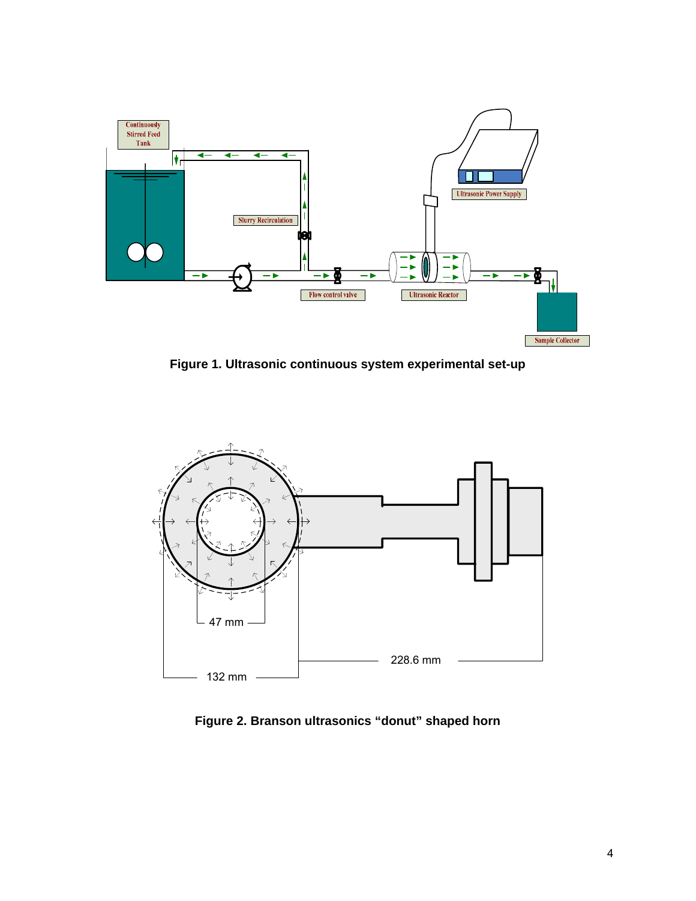

**Figure 1. Ultrasonic continuous system experimental set-up** 



**Figure 2. Branson ultrasonics "donut" shaped horn**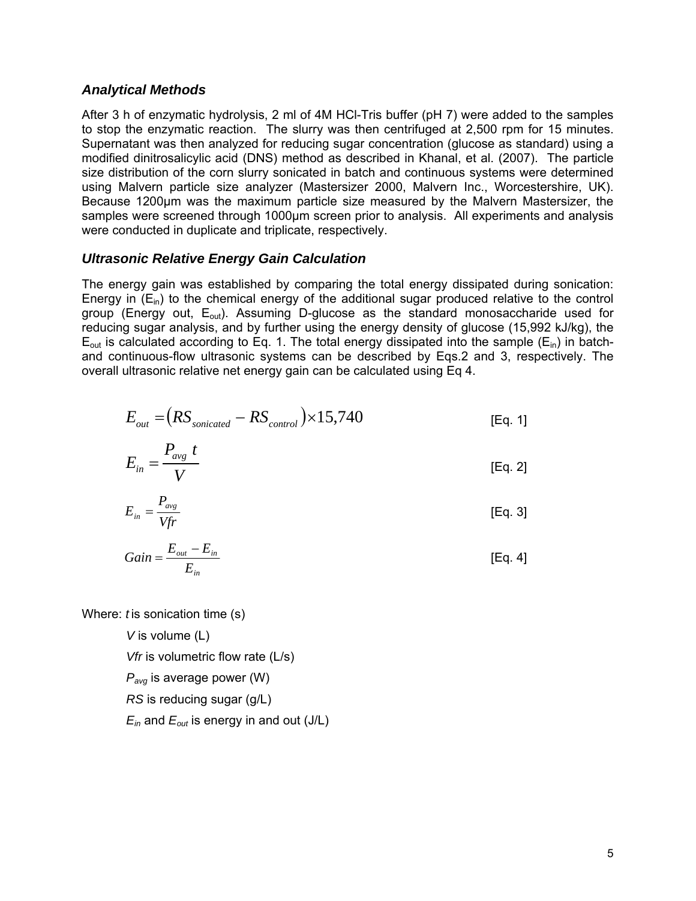#### *Analytical Methods*

After 3 h of enzymatic hydrolysis, 2 ml of 4M HCl-Tris buffer (pH 7) were added to the samples to stop the enzymatic reaction. The slurry was then centrifuged at 2,500 rpm for 15 minutes. Supernatant was then analyzed for reducing sugar concentration (glucose as standard) using a modified dinitrosalicylic acid (DNS) method as described in Khanal, et al. (2007). The particle size distribution of the corn slurry sonicated in batch and continuous systems were determined using Malvern particle size analyzer (Mastersizer 2000, Malvern Inc., Worcestershire, UK). Because 1200µm was the maximum particle size measured by the Malvern Mastersizer, the samples were screened through 1000µm screen prior to analysis. All experiments and analysis were conducted in duplicate and triplicate, respectively.

#### *Ultrasonic Relative Energy Gain Calculation*

The energy gain was established by comparing the total energy dissipated during sonication: Energy in  $(E_{in})$  to the chemical energy of the additional sugar produced relative to the control group (Energy out,  $E_{\text{out}}$ ). Assuming D-glucose as the standard monosaccharide used for reducing sugar analysis, and by further using the energy density of glucose (15,992 kJ/kg), the  $E_{\text{out}}$  is calculated according to Eq. 1. The total energy dissipated into the sample ( $E_{\text{in}}$ ) in batchand continuous-flow ultrasonic systems can be described by Eqs.2 and 3, respectively. The overall ultrasonic relative net energy gain can be calculated using Eq 4.

$$
E_{out} = (RS_{sonicated} - RS_{control}) \times 15,740
$$
 [Eq. 1]

$$
E_{in} = \frac{P_{avg} t}{V}
$$
 [Eq. 2]

$$
E_{in} = \frac{P_{avg}}{Vfr}
$$
 [Eq. 3]

$$
Gain = \frac{E_{out} - E_{in}}{E_{in}}
$$
 [Eq. 4]

Where: *t* is sonication time (s)

*V* is volume (L)

*Vfr* is volumetric flow rate (L/s)

*Pavg* is average power (W)

*RS* is reducing sugar (g/L)

 $E_{in}$  and  $E_{out}$  is energy in and out (J/L)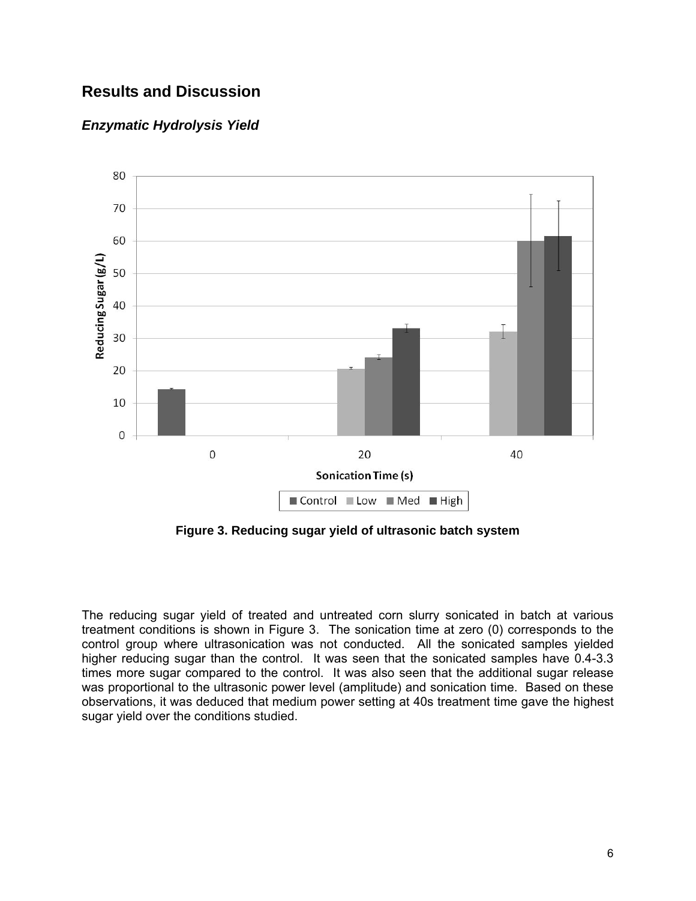# **Results and Discussion**

### *Enzymatic Hydrolysis Yield*



**Figure 3. Reducing sugar yield of ultrasonic batch system** 

The reducing sugar yield of treated and untreated corn slurry sonicated in batch at various treatment conditions is shown in Figure 3. The sonication time at zero (0) corresponds to the control group where ultrasonication was not conducted. All the sonicated samples yielded higher reducing sugar than the control. It was seen that the sonicated samples have 0.4-3.3 times more sugar compared to the control. It was also seen that the additional sugar release was proportional to the ultrasonic power level (amplitude) and sonication time. Based on these observations, it was deduced that medium power setting at 40s treatment time gave the highest sugar yield over the conditions studied.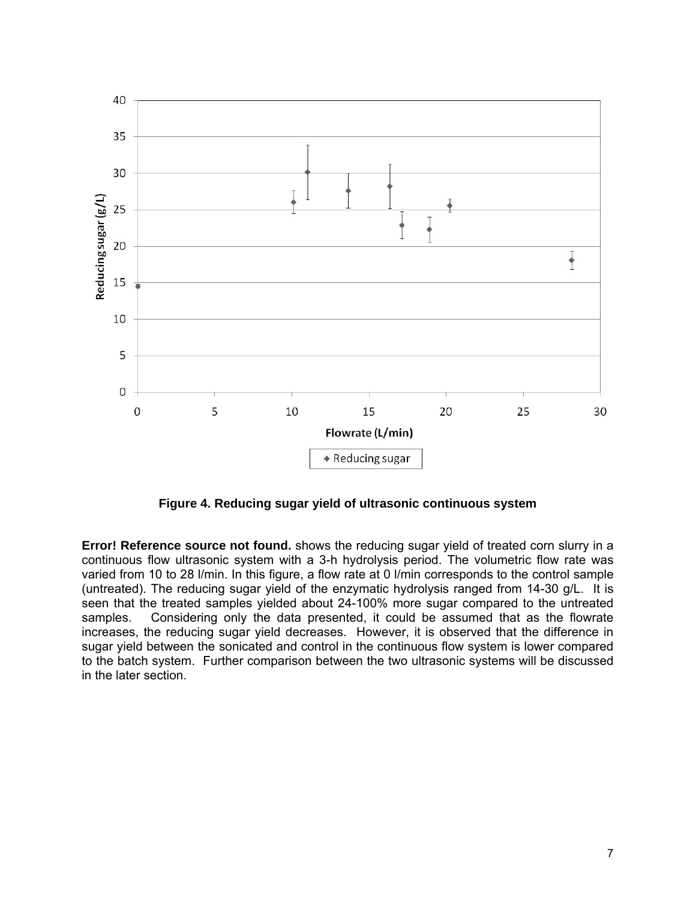

**Figure 4. Reducing sugar yield of ultrasonic continuous system** 

**Error! Reference source not found.** shows the reducing sugar yield of treated corn slurry in a continuous flow ultrasonic system with a 3-h hydrolysis period. The volumetric flow rate was varied from 10 to 28 l/min. In this figure, a flow rate at 0 l/min corresponds to the control sample (untreated). The reducing sugar yield of the enzymatic hydrolysis ranged from 14-30 g/L. It is seen that the treated samples yielded about 24-100% more sugar compared to the untreated samples. Considering only the data presented, it could be assumed that as the flowrate increases, the reducing sugar yield decreases. However, it is observed that the difference in sugar yield between the sonicated and control in the continuous flow system is lower compared to the batch system. Further comparison between the two ultrasonic systems will be discussed in the later section.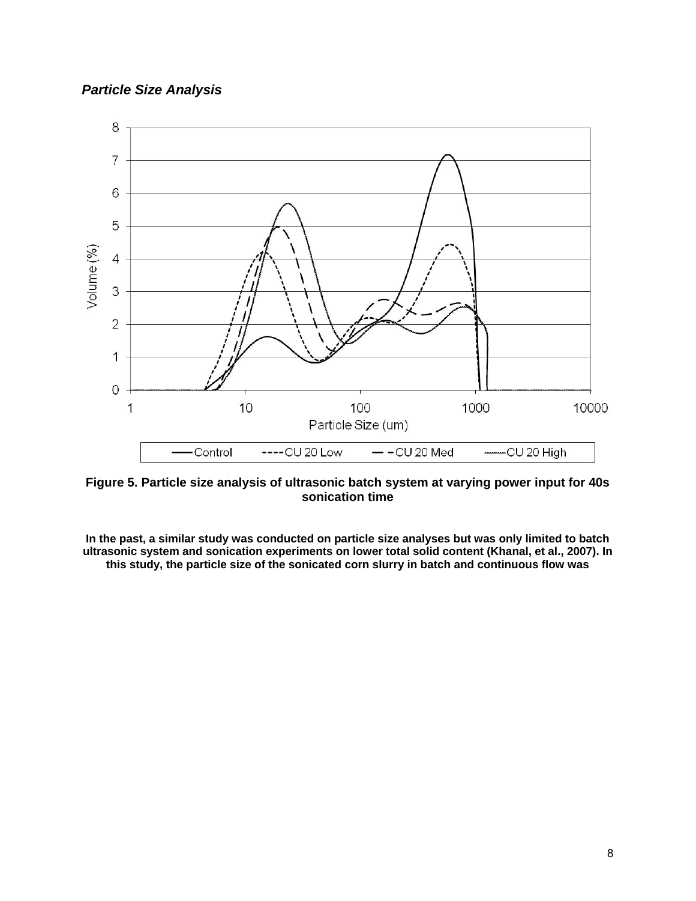### *Particle Size Analysis*



**Figure 5. Particle size analysis of ultrasonic batch system at varying power input for 40s sonication time** 

**In the past, a similar study was conducted on particle size analyses but was only limited to batch ultrasonic system and sonication experiments on lower total solid content (Khanal, et al., 2007). In this study, the particle size of the sonicated corn slurry in batch and continuous flow was**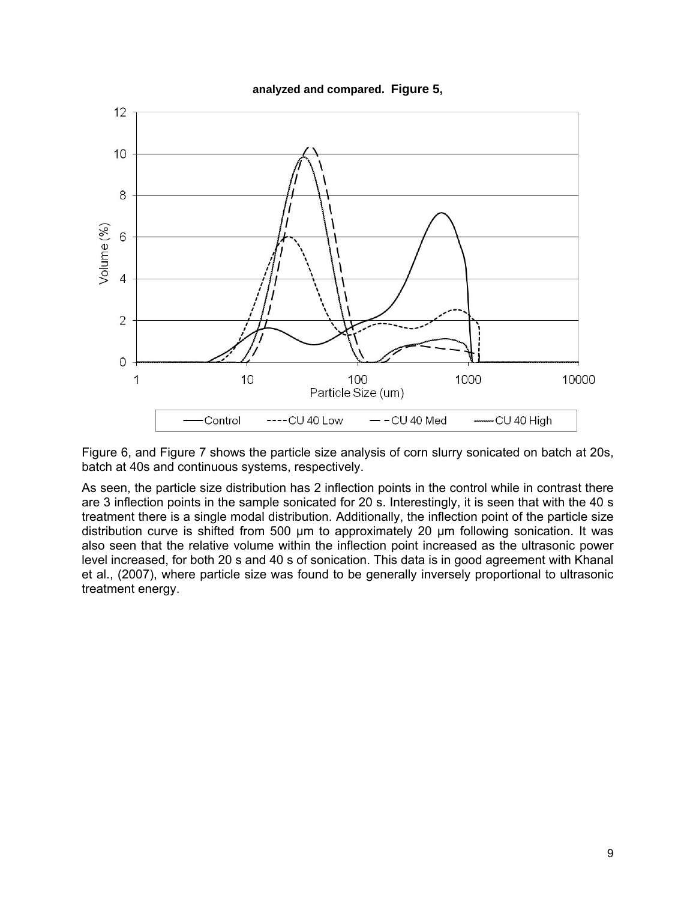



Figure 6, and Figure 7 shows the particle size analysis of corn slurry sonicated on batch at 20s, batch at 40s and continuous systems, respectively.

As seen, the particle size distribution has 2 inflection points in the control while in contrast there are 3 inflection points in the sample sonicated for 20 s. Interestingly, it is seen that with the 40 s treatment there is a single modal distribution. Additionally, the inflection point of the particle size distribution curve is shifted from 500 µm to approximately 20 µm following sonication. It was also seen that the relative volume within the inflection point increased as the ultrasonic power level increased, for both 20 s and 40 s of sonication. This data is in good agreement with Khanal et al., (2007), where particle size was found to be generally inversely proportional to ultrasonic treatment energy.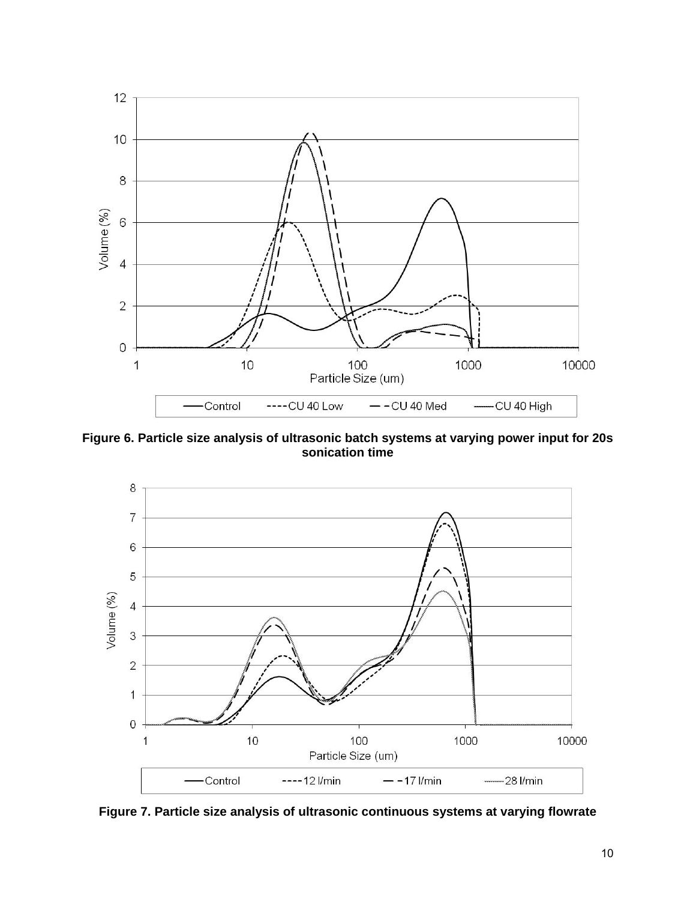

**Figure 6. Particle size analysis of ultrasonic batch systems at varying power input for 20s sonication time** 



**Figure 7. Particle size analysis of ultrasonic continuous systems at varying flowrate**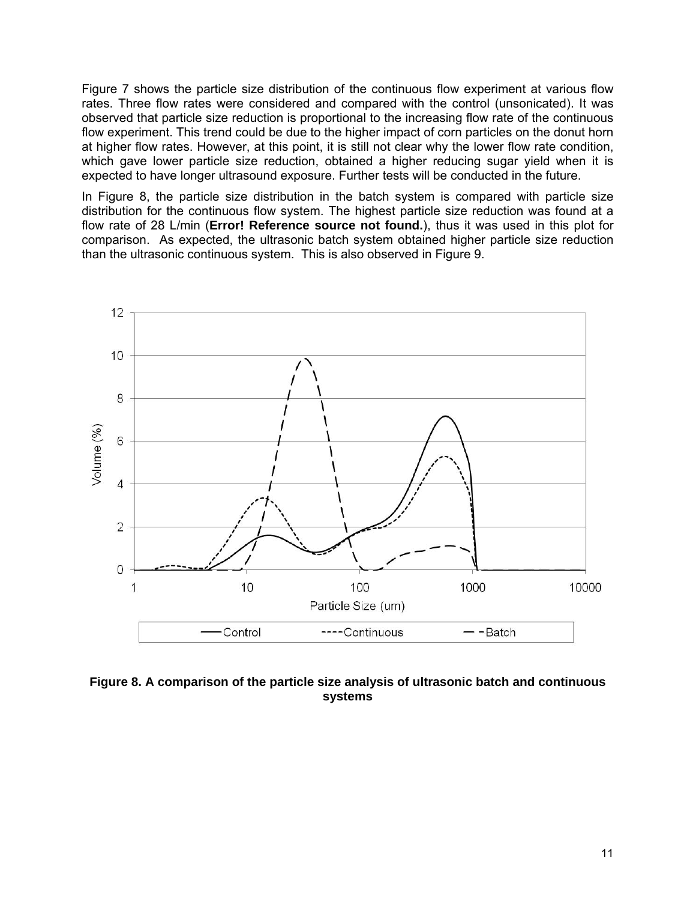Figure 7 shows the particle size distribution of the continuous flow experiment at various flow rates. Three flow rates were considered and compared with the control (unsonicated). It was observed that particle size reduction is proportional to the increasing flow rate of the continuous flow experiment. This trend could be due to the higher impact of corn particles on the donut horn at higher flow rates. However, at this point, it is still not clear why the lower flow rate condition, which gave lower particle size reduction, obtained a higher reducing sugar yield when it is expected to have longer ultrasound exposure. Further tests will be conducted in the future.

In Figure 8, the particle size distribution in the batch system is compared with particle size distribution for the continuous flow system. The highest particle size reduction was found at a flow rate of 28 L/min (**Error! Reference source not found.**), thus it was used in this plot for comparison. As expected, the ultrasonic batch system obtained higher particle size reduction than the ultrasonic continuous system. This is also observed in Figure 9.



**Figure 8. A comparison of the particle size analysis of ultrasonic batch and continuous systems**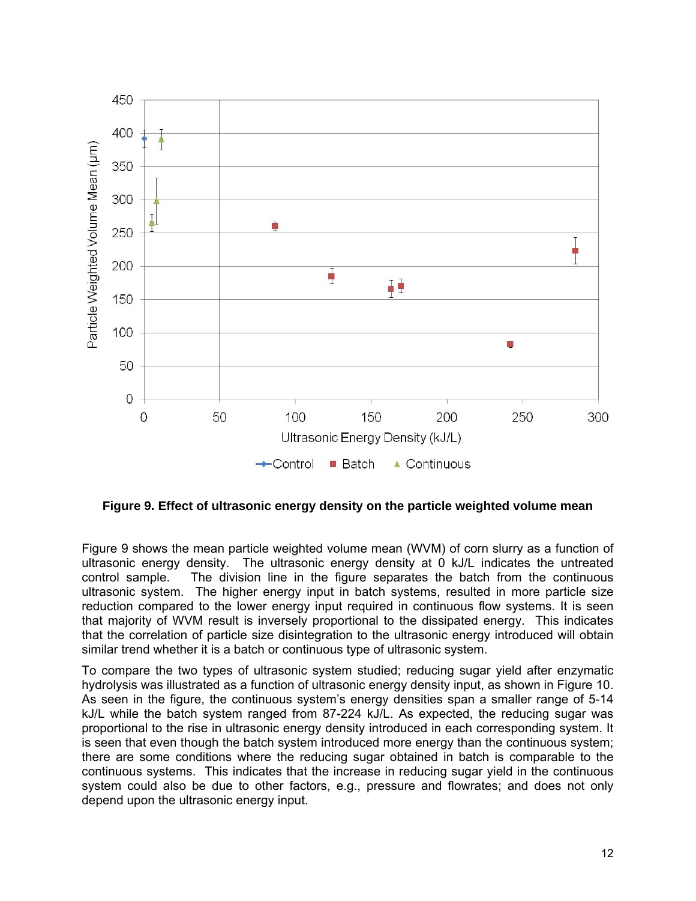

**Figure 9. Effect of ultrasonic energy density on the particle weighted volume mean** 

Figure 9 shows the mean particle weighted volume mean (WVM) of corn slurry as a function of ultrasonic energy density. The ultrasonic energy density at 0 kJ/L indicates the untreated control sample. The division line in the figure separates the batch from the continuous ultrasonic system. The higher energy input in batch systems, resulted in more particle size reduction compared to the lower energy input required in continuous flow systems. It is seen that majority of WVM result is inversely proportional to the dissipated energy. This indicates that the correlation of particle size disintegration to the ultrasonic energy introduced will obtain similar trend whether it is a batch or continuous type of ultrasonic system.

To compare the two types of ultrasonic system studied; reducing sugar yield after enzymatic hydrolysis was illustrated as a function of ultrasonic energy density input, as shown in Figure 10. As seen in the figure, the continuous system's energy densities span a smaller range of 5-14 kJ/L while the batch system ranged from 87-224 kJ/L. As expected, the reducing sugar was proportional to the rise in ultrasonic energy density introduced in each corresponding system. It is seen that even though the batch system introduced more energy than the continuous system; there are some conditions where the reducing sugar obtained in batch is comparable to the continuous systems. This indicates that the increase in reducing sugar yield in the continuous system could also be due to other factors, e.g., pressure and flowrates; and does not only depend upon the ultrasonic energy input.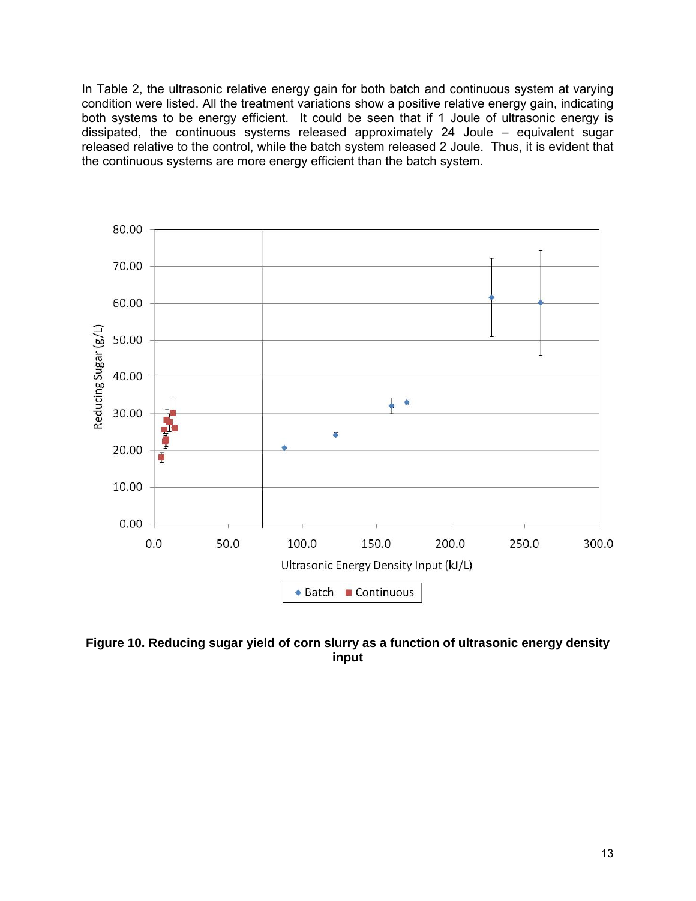In Table 2, the ultrasonic relative energy gain for both batch and continuous system at varying condition were listed. All the treatment variations show a positive relative energy gain, indicating both systems to be energy efficient. It could be seen that if 1 Joule of ultrasonic energy is dissipated, the continuous systems released approximately 24 Joule – equivalent sugar released relative to the control, while the batch system released 2 Joule. Thus, it is evident that the continuous systems are more energy efficient than the batch system.



**Figure 10. Reducing sugar yield of corn slurry as a function of ultrasonic energy density input**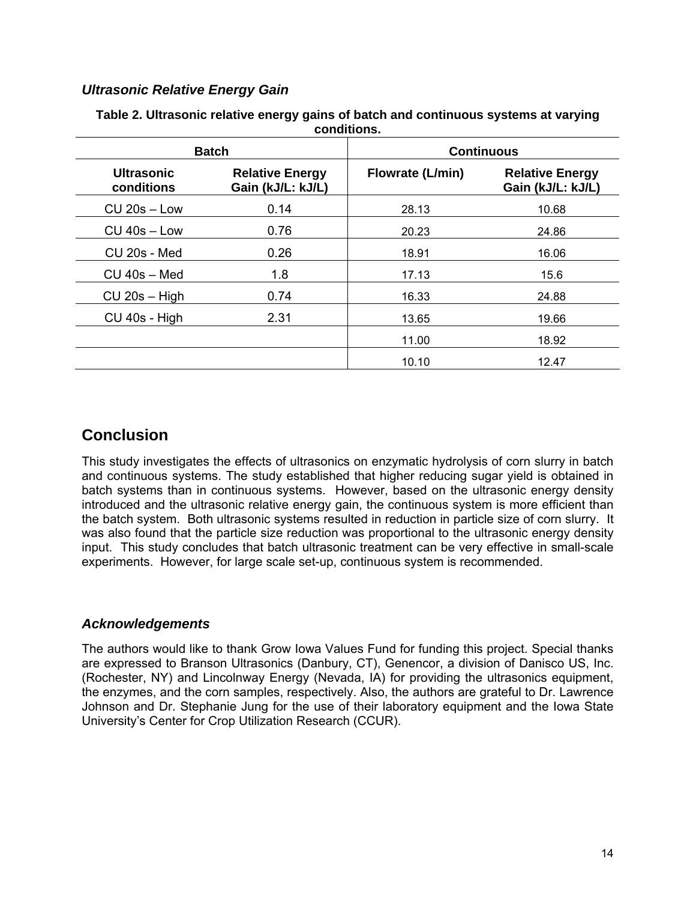### *Ultrasonic Relative Energy Gain*

| <b>Batch</b>                    |                                             | <b>Continuous</b> |                                             |  |
|---------------------------------|---------------------------------------------|-------------------|---------------------------------------------|--|
| <b>Ultrasonic</b><br>conditions | <b>Relative Energy</b><br>Gain (kJ/L: kJ/L) | Flowrate (L/min)  | <b>Relative Energy</b><br>Gain (kJ/L: kJ/L) |  |
| $CU$ 20s $-$ Low                | 0.14                                        | 28.13             | 10.68                                       |  |
| $CU$ 40s $-Low$                 | 0.76                                        | 20.23             | 24.86                                       |  |
| CU 20s - Med                    | 0.26                                        | 18.91             | 16.06                                       |  |
| $CU$ 40s $-$ Med                | 1.8                                         | 17.13             | 15.6                                        |  |
| $CU$ 20s – High                 | 0.74                                        | 16.33             | 24.88                                       |  |
| CU 40s - High                   | 2.31                                        | 13.65             | 19.66                                       |  |
|                                 |                                             | 11.00             | 18.92                                       |  |
|                                 |                                             | 10.10             | 12.47                                       |  |

#### **Table 2. Ultrasonic relative energy gains of batch and continuous systems at varying conditions.**

# **Conclusion**

This study investigates the effects of ultrasonics on enzymatic hydrolysis of corn slurry in batch and continuous systems. The study established that higher reducing sugar yield is obtained in batch systems than in continuous systems. However, based on the ultrasonic energy density introduced and the ultrasonic relative energy gain, the continuous system is more efficient than the batch system. Both ultrasonic systems resulted in reduction in particle size of corn slurry. It was also found that the particle size reduction was proportional to the ultrasonic energy density input. This study concludes that batch ultrasonic treatment can be very effective in small-scale experiments. However, for large scale set-up, continuous system is recommended.

### *Acknowledgements*

The authors would like to thank Grow Iowa Values Fund for funding this project. Special thanks are expressed to Branson Ultrasonics (Danbury, CT), Genencor, a division of Danisco US, Inc. (Rochester, NY) and Lincolnway Energy (Nevada, IA) for providing the ultrasonics equipment, the enzymes, and the corn samples, respectively. Also, the authors are grateful to Dr. Lawrence Johnson and Dr. Stephanie Jung for the use of their laboratory equipment and the Iowa State University's Center for Crop Utilization Research (CCUR).